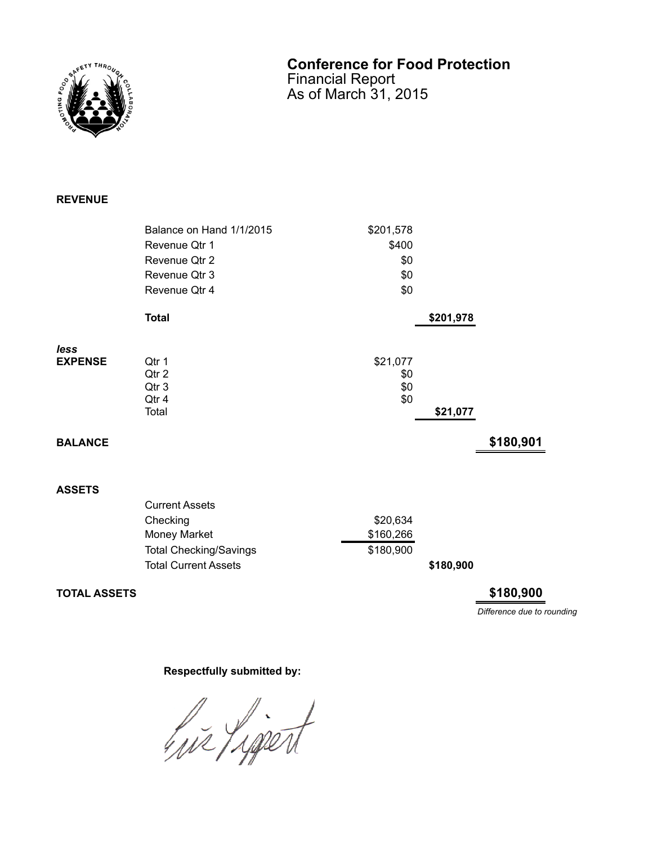

## **Conference for Food Protection** Financial Report

As of March 31, 2015

## **REVENUE**

|                | Balance on Hand 1/1/2015                  | \$201,578                     |           |           |
|----------------|-------------------------------------------|-------------------------------|-----------|-----------|
|                | Revenue Qtr 1                             | \$400                         |           |           |
|                | Revenue Qtr 2                             | \$0                           |           |           |
|                | Revenue Qtr 3                             | \$0                           |           |           |
|                | Revenue Qtr 4                             | \$0                           |           |           |
|                | <b>Total</b>                              |                               | \$201,978 |           |
| less           |                                           |                               |           |           |
| <b>EXPENSE</b> | Qtr 1<br>Qtr 2<br>Qtr 3<br>Qtr 4<br>Total | \$21,077<br>\$0<br>\$0<br>\$0 |           |           |
|                |                                           |                               | \$21,077  |           |
| <b>BALANCE</b> |                                           |                               |           | \$180,901 |
| <b>ASSETS</b>  |                                           |                               |           |           |
|                | <b>Current Assets</b>                     |                               |           |           |
|                | Checking                                  | \$20,634                      |           |           |
|                | Money Market                              | \$160,266                     |           |           |

Total Checking/Savings \$180,900

Total Current Assets **\$180,900** 

**TOTAL ASSETS \$180,900**

*Difference due to rounding*

## **Respectfully submitted by:**

hir Ligert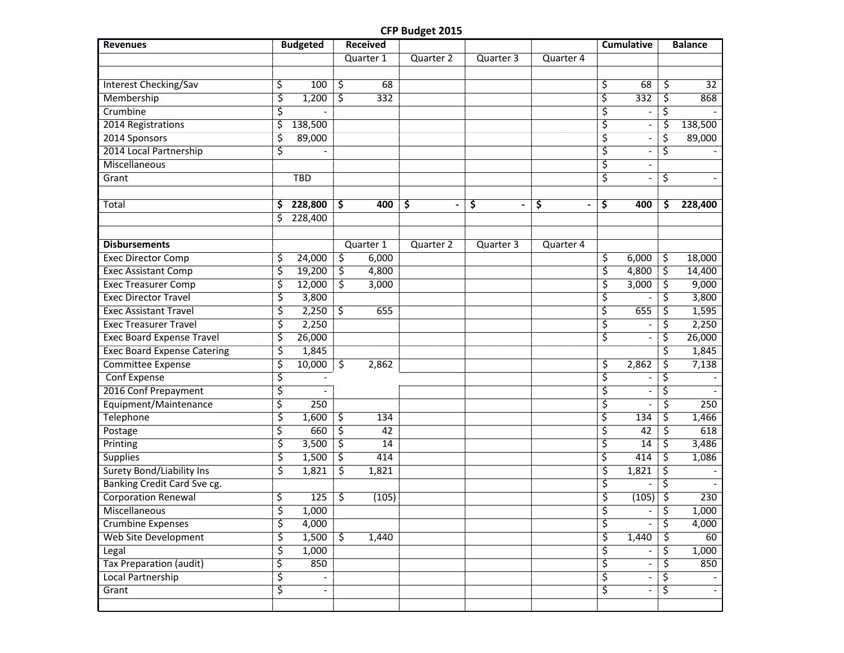## **CFP Budget 2015**

| <b>Revenues</b>                    | <b>Budgeted</b>                |                        | <b>Received</b> |                                    |           |           |    | <b>Cumulative</b>        | <b>Balance</b> |
|------------------------------------|--------------------------------|------------------------|-----------------|------------------------------------|-----------|-----------|----|--------------------------|----------------|
|                                    |                                |                        | Quarter 1       | Quarter 2                          | Quarter 3 | Quarter 4 |    |                          |                |
|                                    |                                |                        |                 |                                    |           |           |    |                          |                |
| <b>Interest Checking/Sav</b>       | \$<br>100                      | \$                     | 68              |                                    |           |           | \$ | 68                       | \$<br>32       |
| Membership                         | \$<br>1,200                    | \$                     | 332             |                                    |           |           | ξ  | 332                      | \$<br>868      |
| Crumbine                           | \$                             |                        |                 |                                    |           |           | \$ |                          | \$             |
| 2014 Registrations                 | \$<br>138,500                  |                        |                 |                                    |           |           | \$ | $\overline{\phantom{a}}$ | \$<br>138,500  |
| 2014 Sponsors                      | \$<br>89,000                   |                        |                 |                                    |           |           | \$ |                          | \$<br>89,000   |
| 2014 Local Partnership             | \$                             |                        |                 |                                    |           |           | \$ |                          | \$             |
| Miscellaneous                      |                                |                        |                 |                                    |           |           | \$ | $\overline{\phantom{a}}$ |                |
| Grant                              | <b>TBD</b>                     |                        |                 |                                    |           |           | \$ |                          | \$             |
|                                    |                                |                        |                 |                                    |           |           |    |                          |                |
| Total                              | \$<br>228,800                  | \$                     | 400             | \$<br>$\qquad \qquad \blacksquare$ | \$        | \$        | \$ | 400                      | \$<br>228,400  |
|                                    | \$<br>228,400                  |                        |                 |                                    |           |           |    |                          |                |
|                                    |                                |                        |                 |                                    |           |           |    |                          |                |
| <b>Disbursements</b>               |                                |                        | Quarter 1       | Quarter 2                          | Quarter 3 | Quarter 4 |    |                          |                |
| <b>Exec Director Comp</b>          | \$<br>24,000                   | \$                     | 6,000           |                                    |           |           | \$ | 6,000                    | \$<br>18,000   |
| <b>Exec Assistant Comp</b>         | \$<br>19,200                   | $\overline{\varsigma}$ | 4,800           |                                    |           |           | \$ | 4,800                    | \$<br>14,400   |
| <b>Exec Treasurer Comp</b>         | \$<br>12,000                   | 3                      | 3,000           |                                    |           |           | \$ | 3,000                    | \$<br>9,000    |
| <b>Exec Director Travel</b>        | \$<br>3,800                    |                        |                 |                                    |           |           | \$ |                          | \$<br>3,800    |
| <b>Exec Assistant Travel</b>       | \$<br>2,250                    | \$                     | 655             |                                    |           |           | \$ | 655                      | \$<br>1,595    |
| <b>Exec Treasurer Travel</b>       | \$<br>2,250                    |                        |                 |                                    |           |           | \$ |                          | \$<br>2,250    |
| <b>Exec Board Expense Travel</b>   | \$<br>26,000                   |                        |                 |                                    |           |           | \$ |                          | \$<br>26,000   |
| <b>Exec Board Expense Catering</b> | \$<br>1,845                    |                        |                 |                                    |           |           |    |                          | \$<br>1,845    |
| <b>Committee Expense</b>           | \$<br>10,000                   | \$                     | 2,862           |                                    |           |           | \$ | 2,862                    | \$<br>7,138    |
| Conf Expense                       | \$                             |                        |                 |                                    |           |           | \$ | $\overline{\phantom{a}}$ | \$             |
| 2016 Conf Prepayment               | \$                             |                        |                 |                                    |           |           | \$ | $\overline{\phantom{a}}$ | \$             |
| Equipment/Maintenance              | \$<br>250                      |                        |                 |                                    |           |           | \$ |                          | \$<br>250      |
| <b>Telephone</b>                   | \$<br>1,600                    | \$                     | 134             |                                    |           |           | \$ | 134                      | \$<br>1,466    |
| Postage                            | \$<br>660                      | \$                     | 42              |                                    |           |           | \$ | 42                       | \$<br>618      |
| Printing                           | \$<br>3,500                    | \$                     | 14              |                                    |           |           | ζ  | 14                       | \$<br>3,486    |
| <b>Supplies</b>                    | \$<br>1,500                    | \$                     | 414             |                                    |           |           | \$ | 414                      | \$<br>1,086    |
| <b>Surety Bond/Liability Ins</b>   | \$<br>1,821                    | \$                     | 1,821           |                                    |           |           | \$ | 1,821                    | \$             |
| <b>Banking Credit Card Sve cg.</b> |                                |                        |                 |                                    |           |           | \$ |                          | \$             |
| <b>Corporation Renewal</b>         | \$<br>125                      | \$                     | (105)           |                                    |           |           | \$ | (105)                    | \$<br>230      |
| Miscellaneous                      | \$<br>1,000                    |                        |                 |                                    |           |           | \$ | $\overline{\phantom{a}}$ | \$<br>1,000    |
| Crumbine Expenses                  | \$<br>4,000                    |                        |                 |                                    |           |           | ζ. |                          | \$<br>4,000    |
| <b>Web Site Development</b>        | \$<br>1,500                    | <u>र्</u>              | 1,440           |                                    |           |           | \$ | 1,440                    | \$<br>60       |
| Legal                              | \$<br>1,000                    |                        |                 |                                    |           |           | \$ |                          | \$<br>1,000    |
| <b>Tax Preparation (audit)</b>     | \$<br>850                      |                        |                 |                                    |           |           | \$ | $\overline{\phantom{a}}$ | \$<br>850      |
| Local Partnership                  | \$                             |                        |                 |                                    |           |           | \$ | $\overline{\phantom{a}}$ | \$             |
| Grant                              | \$<br>$\overline{\phantom{a}}$ |                        |                 |                                    |           |           | \$ | $\overline{\phantom{a}}$ | \$             |
|                                    |                                |                        |                 |                                    |           |           |    |                          |                |